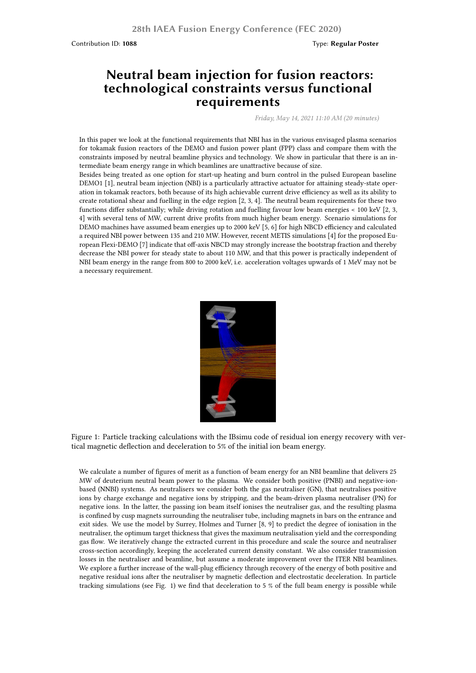## **Neutral beam injection for fusion reactors: technological constraints versus functional requirements**

*Friday, May 14, 2021 11:10 AM (20 minutes)*

In this paper we look at the functional requirements that NBI has in the various envisaged plasma scenarios for tokamak fusion reactors of the DEMO and fusion power plant (FPP) class and compare them with the constraints imposed by neutral beamline physics and technology. We show in particular that there is an intermediate beam energy range in which beamlines are unattractive because of size.

Besides being treated as one option for start-up heating and burn control in the pulsed European baseline DEMO1 [1], neutral beam injection (NBI) is a particularly attractive actuator for attaining steady-state operation in tokamak reactors, both because of its high achievable current drive efficiency as well as its ability to create rotational shear and fuelling in the edge region [2, 3, 4]. The neutral beam requirements for these two functions differ substantially; while driving rotation and fuelling favour low beam energies < 100 keV [2, 3, 4] with several tens of MW, current drive profits from much higher beam energy. Scenario simulations for DEMO machines have assumed beam energies up to 2000 keV [5, 6] for high NBCD efficiency and calculated a required NBI power between 135 and 210 MW. However, recent METIS simulations [4] for the proposed European Flexi-DEMO [7] indicate that off-axis NBCD may strongly increase the bootstrap fraction and thereby decrease the NBI power for steady state to about 110 MW, and that this power is practically independent of NBI beam energy in the range from 800 to 2000 keV, i.e. acceleration voltages upwards of 1 MeV may not be a necessary requirement.



Figure 1: Particle tracking calculations with the IBsimu code of residual ion energy recovery with vertical magnetic deflection and deceleration to 5% of the initial ion beam energy.

We calculate a number of figures of merit as a function of beam energy for an NBI beamline that delivers 25 MW of deuterium neutral beam power to the plasma. We consider both positive (PNBI) and negative-ionbased (NNBI) systems. As neutralisers we consider both the gas neutraliser (GN), that neutralises positive ions by charge exchange and negative ions by stripping, and the beam-driven plasma neutraliser (PN) for negative ions. In the latter, the passing ion beam itself ionises the neutraliser gas, and the resulting plasma is confined by cusp magnets surrounding the neutraliser tube, including magnets in bars on the entrance and exit sides. We use the model by Surrey, Holmes and Turner [8, 9] to predict the degree of ionisation in the neutraliser, the optimum target thickness that gives the maximum neutralisation yield and the corresponding gas flow. We iteratively change the extracted current in this procedure and scale the source and neutraliser cross-section accordingly, keeping the accelerated current density constant. We also consider transmission losses in the neutraliser and beamline, but assume a moderate improvement over the ITER NBI beamlines. We explore a further increase of the wall-plug efficiency through recovery of the energy of both positive and negative residual ions after the neutraliser by magnetic deflection and electrostatic deceleration. In particle tracking simulations (see Fig. 1) we find that deceleration to 5 % of the full beam energy is possible while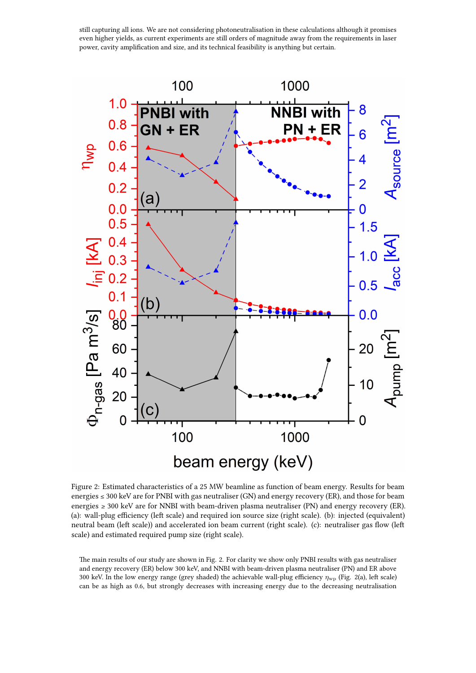still capturing all ions. We are not considering photoneutralisation in these calculations although it promises even higher yields, as current experiments are still orders of magnitude away from the requirements in laser power, cavity amplification and size, and its technical feasibility is anything but certain.



Figure 2: Estimated characteristics of a 25 MW beamline as function of beam energy. Results for beam energies  $\leq 300$  keV are for PNBI with gas neutraliser (GN) and energy recovery (ER), and those for beam energies ≥ 300 keV are for NNBI with beam-driven plasma neutraliser (PN) and energy recovery (ER). (a): wall-plug efficiency (left scale) and required ion source size (right scale). (b): injected (equivalent) neutral beam (left scale)) and accelerated ion beam current (right scale). (c): neutraliser gas flow (left scale) and estimated required pump size (right scale).

The main results of our study are shown in Fig. 2. For clarity we show only PNBI results with gas neutraliser and energy recovery (ER) below 300 keV, and NNBI with beam-driven plasma neutraliser (PN) and ER above 300 keV. In the low energy range (grey shaded) the achievable wall-plug efficiency *η*wp (Fig. 2(a), left scale) can be as high as 0.6, but strongly decreases with increasing energy due to the decreasing neutralisation